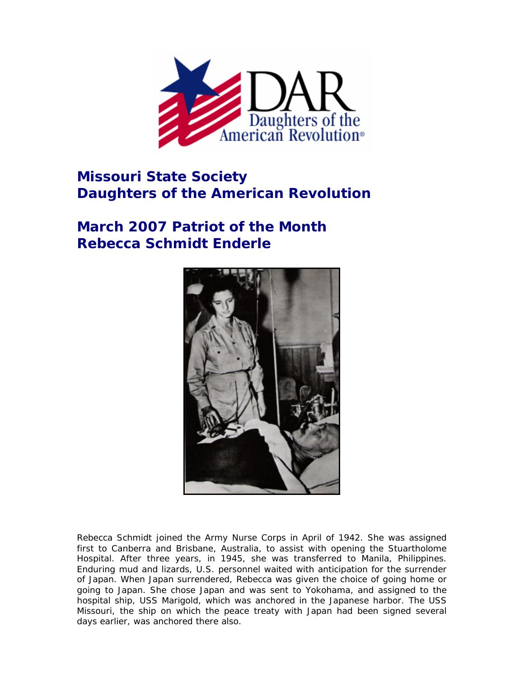

## **Missouri State Society Daughters of the American Revolution**

## **March 2007 Patriot of the Month Rebecca Schmidt Enderle**



Rebecca Schmidt joined the Army Nurse Corps in April of 1942. She was assigned first to Canberra and Brisbane, Australia, to assist with opening the Stuartholome Hospital. After three years, in 1945, she was transferred to Manila, Philippines. Enduring mud and lizards, U.S. personnel waited with anticipation for the surrender of Japan. When Japan surrendered, Rebecca was given the choice of going home or going to Japan. She chose Japan and was sent to Yokohama, and assigned to the hospital ship, USS Marigold, which was anchored in the Japanese harbor. The USS Missouri, the ship on which the peace treaty with Japan had been signed several days earlier, was anchored there also.